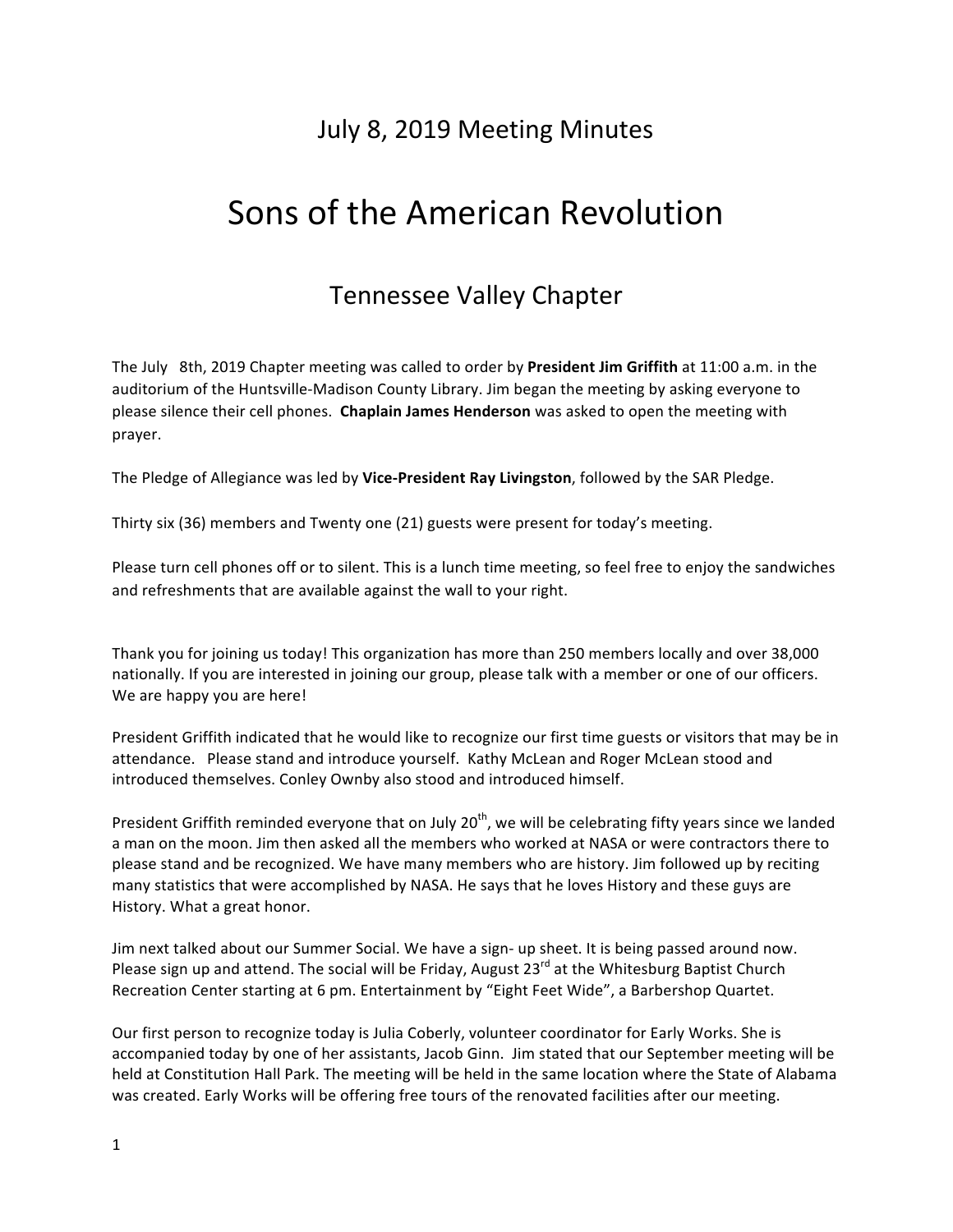# July 8, 2019 Meeting Minutes

# Sons of the American Revolution

# Tennessee Valley Chapter

The July 8th, 2019 Chapter meeting was called to order by President Jim Griffith at 11:00 a.m. in the auditorium of the Huntsville-Madison County Library. Jim began the meeting by asking everyone to please silence their cell phones. Chaplain James Henderson was asked to open the meeting with prayer. 

The Pledge of Allegiance was led by Vice-President Ray Livingston, followed by the SAR Pledge.

Thirty six (36) members and Twenty one (21) guests were present for today's meeting.

Please turn cell phones off or to silent. This is a lunch time meeting, so feel free to enjoy the sandwiches and refreshments that are available against the wall to your right.

Thank you for joining us today! This organization has more than 250 members locally and over 38,000 nationally. If you are interested in joining our group, please talk with a member or one of our officers. We are happy you are here!

President Griffith indicated that he would like to recognize our first time guests or visitors that may be in attendance. Please stand and introduce yourself. Kathy McLean and Roger McLean stood and introduced themselves. Conley Ownby also stood and introduced himself.

President Griffith reminded everyone that on July  $20<sup>th</sup>$ , we will be celebrating fifty years since we landed a man on the moon. Jim then asked all the members who worked at NASA or were contractors there to please stand and be recognized. We have many members who are history. Jim followed up by reciting many statistics that were accomplished by NASA. He says that he loves History and these guys are History. What a great honor.

Jim next talked about our Summer Social. We have a sign- up sheet. It is being passed around now. Please sign up and attend. The social will be Friday, August 23<sup>rd</sup> at the Whitesburg Baptist Church Recreation Center starting at 6 pm. Entertainment by "Eight Feet Wide", a Barbershop Quartet.

Our first person to recognize today is Julia Coberly, volunteer coordinator for Early Works. She is accompanied today by one of her assistants, Jacob Ginn. Jim stated that our September meeting will be held at Constitution Hall Park. The meeting will be held in the same location where the State of Alabama was created. Early Works will be offering free tours of the renovated facilities after our meeting.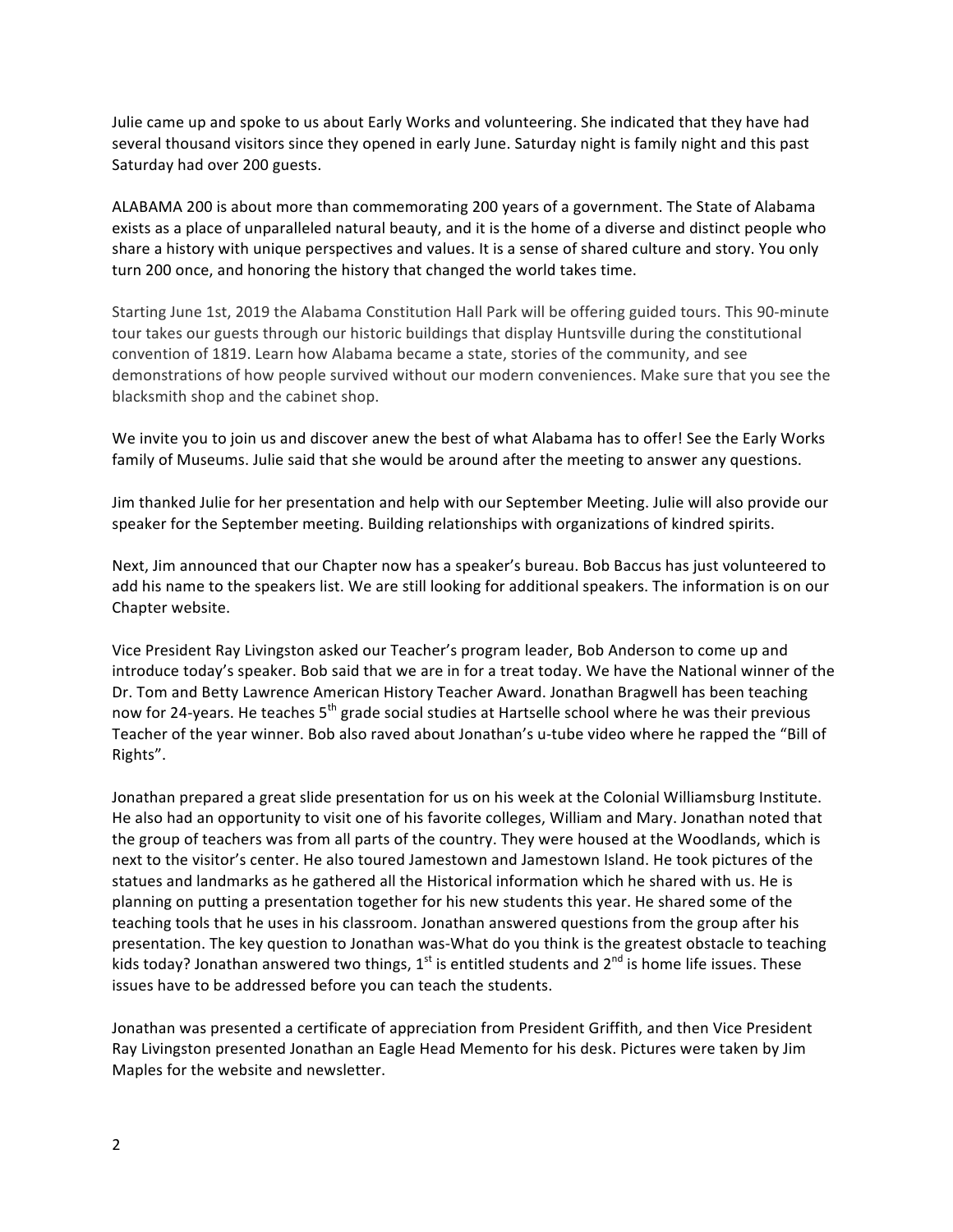Julie came up and spoke to us about Early Works and volunteering. She indicated that they have had several thousand visitors since they opened in early June. Saturday night is family night and this past Saturday had over 200 guests.

ALABAMA 200 is about more than commemorating 200 years of a government. The State of Alabama exists as a place of unparalleled natural beauty, and it is the home of a diverse and distinct people who share a history with unique perspectives and values. It is a sense of shared culture and story. You only turn 200 once, and honoring the history that changed the world takes time.

Starting June 1st, 2019 the Alabama Constitution Hall Park will be offering guided tours. This 90-minute tour takes our guests through our historic buildings that display Huntsville during the constitutional convention of 1819. Learn how Alabama became a state, stories of the community, and see demonstrations of how people survived without our modern conveniences. Make sure that you see the blacksmith shop and the cabinet shop.

We invite you to join us and discover anew the best of what Alabama has to offer! See the Early Works family of Museums. Julie said that she would be around after the meeting to answer any questions.

Jim thanked Julie for her presentation and help with our September Meeting. Julie will also provide our speaker for the September meeting. Building relationships with organizations of kindred spirits.

Next, Jim announced that our Chapter now has a speaker's bureau. Bob Baccus has just volunteered to add his name to the speakers list. We are still looking for additional speakers. The information is on our Chapter website.

Vice President Ray Livingston asked our Teacher's program leader, Bob Anderson to come up and introduce today's speaker. Bob said that we are in for a treat today. We have the National winner of the Dr. Tom and Betty Lawrence American History Teacher Award. Jonathan Bragwell has been teaching now for 24-years. He teaches 5<sup>th</sup> grade social studies at Hartselle school where he was their previous Teacher of the year winner. Bob also raved about Jonathan's u-tube video where he rapped the "Bill of Rights".

Jonathan prepared a great slide presentation for us on his week at the Colonial Williamsburg Institute. He also had an opportunity to visit one of his favorite colleges, William and Mary. Jonathan noted that the group of teachers was from all parts of the country. They were housed at the Woodlands, which is next to the visitor's center. He also toured Jamestown and Jamestown Island. He took pictures of the statues and landmarks as he gathered all the Historical information which he shared with us. He is planning on putting a presentation together for his new students this year. He shared some of the teaching tools that he uses in his classroom. Jonathan answered questions from the group after his presentation. The key question to Jonathan was-What do you think is the greatest obstacle to teaching kids today? Jonathan answered two things,  $1^{st}$  is entitled students and  $2^{nd}$  is home life issues. These issues have to be addressed before you can teach the students.

Jonathan was presented a certificate of appreciation from President Griffith, and then Vice President Ray Livingston presented Jonathan an Eagle Head Memento for his desk. Pictures were taken by Jim Maples for the website and newsletter.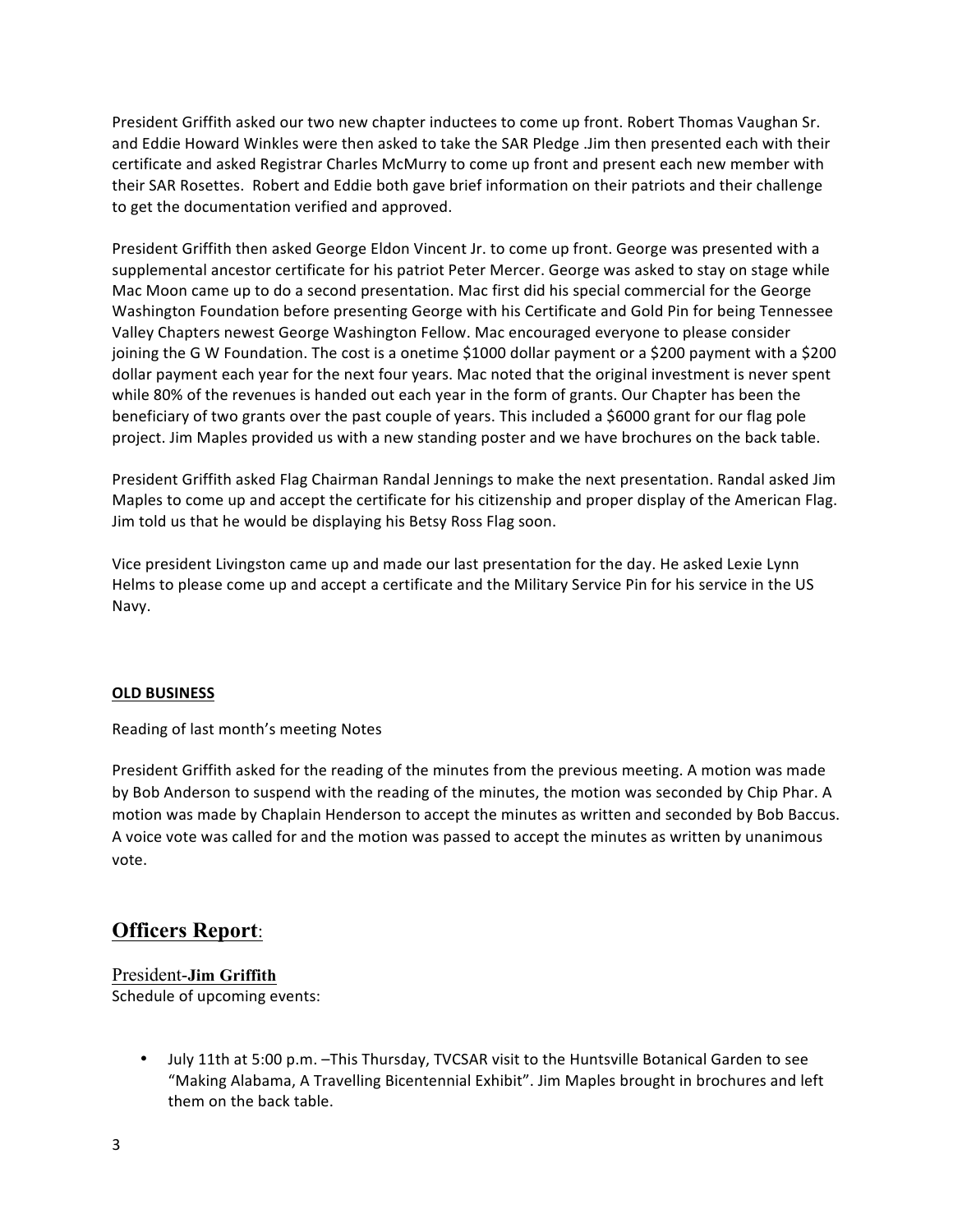President Griffith asked our two new chapter inductees to come up front. Robert Thomas Vaughan Sr. and Eddie Howard Winkles were then asked to take the SAR Pledge .Jim then presented each with their certificate and asked Registrar Charles McMurry to come up front and present each new member with their SAR Rosettes. Robert and Eddie both gave brief information on their patriots and their challenge to get the documentation verified and approved.

President Griffith then asked George Eldon Vincent Jr. to come up front. George was presented with a supplemental ancestor certificate for his patriot Peter Mercer. George was asked to stay on stage while Mac Moon came up to do a second presentation. Mac first did his special commercial for the George Washington Foundation before presenting George with his Certificate and Gold Pin for being Tennessee Valley Chapters newest George Washington Fellow. Mac encouraged everyone to please consider joining the G W Foundation. The cost is a onetime \$1000 dollar payment or a \$200 payment with a \$200 dollar payment each year for the next four years. Mac noted that the original investment is never spent while 80% of the revenues is handed out each year in the form of grants. Our Chapter has been the beneficiary of two grants over the past couple of years. This included a \$6000 grant for our flag pole project. Jim Maples provided us with a new standing poster and we have brochures on the back table.

President Griffith asked Flag Chairman Randal Jennings to make the next presentation. Randal asked Jim Maples to come up and accept the certificate for his citizenship and proper display of the American Flag. Jim told us that he would be displaying his Betsy Ross Flag soon.

Vice president Livingston came up and made our last presentation for the day. He asked Lexie Lynn Helms to please come up and accept a certificate and the Military Service Pin for his service in the US Navy.

#### **OLD BUSINESS**

Reading of last month's meeting Notes

President Griffith asked for the reading of the minutes from the previous meeting. A motion was made by Bob Anderson to suspend with the reading of the minutes, the motion was seconded by Chip Phar. A motion was made by Chaplain Henderson to accept the minutes as written and seconded by Bob Baccus. A voice vote was called for and the motion was passed to accept the minutes as written by unanimous vote. 

# **Officers Report**:

## President-**Jim Griffith** Schedule of upcoming events:

• July 11th at 5:00 p.m. -This Thursday, TVCSAR visit to the Huntsville Botanical Garden to see "Making Alabama, A Travelling Bicentennial Exhibit". Jim Maples brought in brochures and left them on the back table.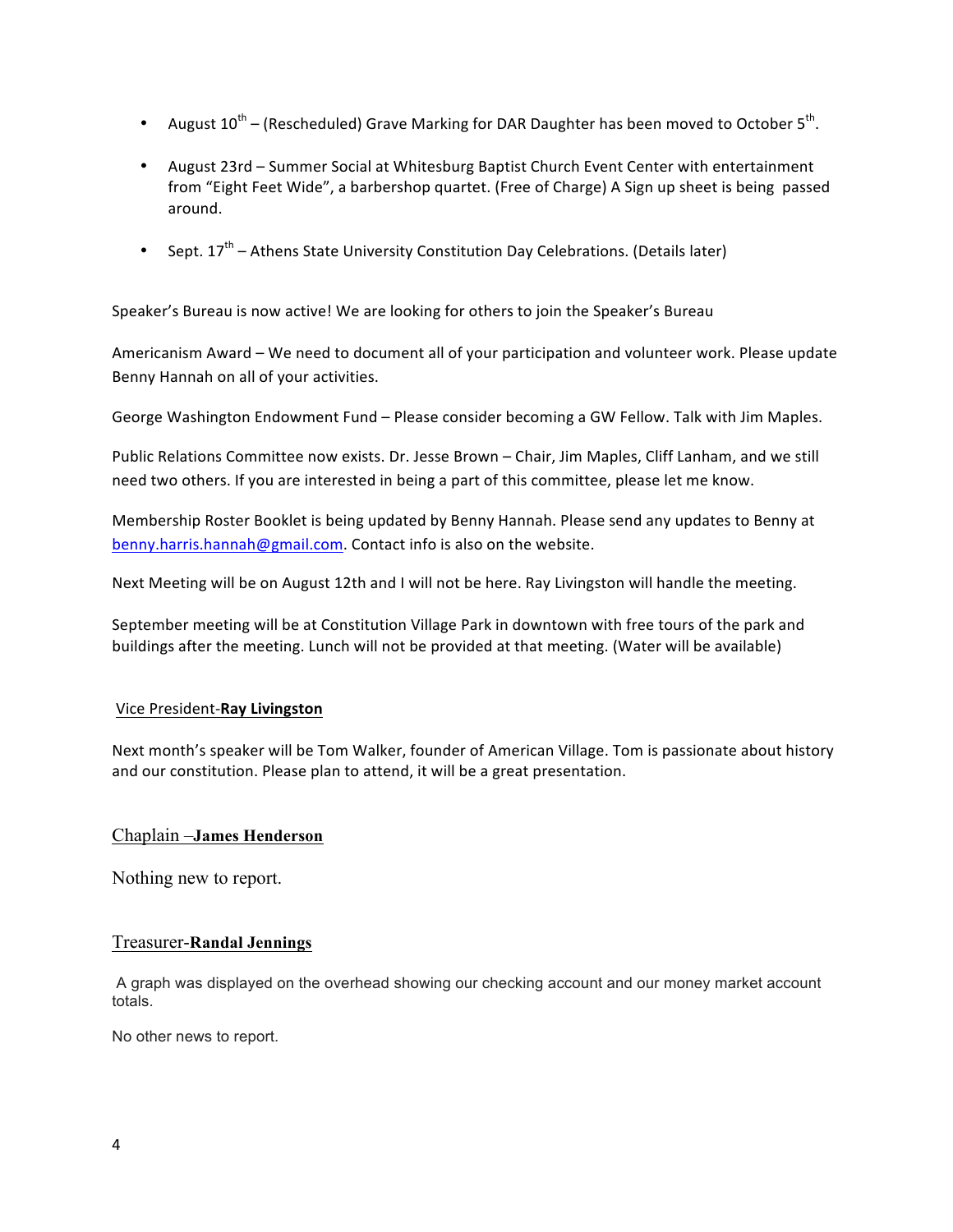- August  $10^{th}$  (Rescheduled) Grave Marking for DAR Daughter has been moved to October 5<sup>th</sup>.
- August 23rd Summer Social at Whitesburg Baptist Church Event Center with entertainment from "Eight Feet Wide", a barbershop quartet. (Free of Charge) A Sign up sheet is being passed around.
- Sept.  $17^{th}$  Athens State University Constitution Day Celebrations. (Details later)

Speaker's Bureau is now active! We are looking for others to join the Speaker's Bureau

Americanism Award – We need to document all of your participation and volunteer work. Please update Benny Hannah on all of your activities.

George Washington Endowment Fund - Please consider becoming a GW Fellow. Talk with Jim Maples.

Public Relations Committee now exists. Dr. Jesse Brown - Chair, Jim Maples, Cliff Lanham, and we still need two others. If you are interested in being a part of this committee, please let me know.

Membership Roster Booklet is being updated by Benny Hannah. Please send any updates to Benny at benny.harris.hannah@gmail.com. Contact info is also on the website.

Next Meeting will be on August 12th and I will not be here. Ray Livingston will handle the meeting.

September meeting will be at Constitution Village Park in downtown with free tours of the park and buildings after the meeting. Lunch will not be provided at that meeting. (Water will be available)

#### Vice President-**Ray Livingston**

Next month's speaker will be Tom Walker, founder of American Village. Tom is passionate about history and our constitution. Please plan to attend, it will be a great presentation.

#### Chaplain –**James Henderson**

Nothing new to report.

#### Treasurer-**Randal Jennings**

A graph was displayed on the overhead showing our checking account and our money market account totals.

No other news to report.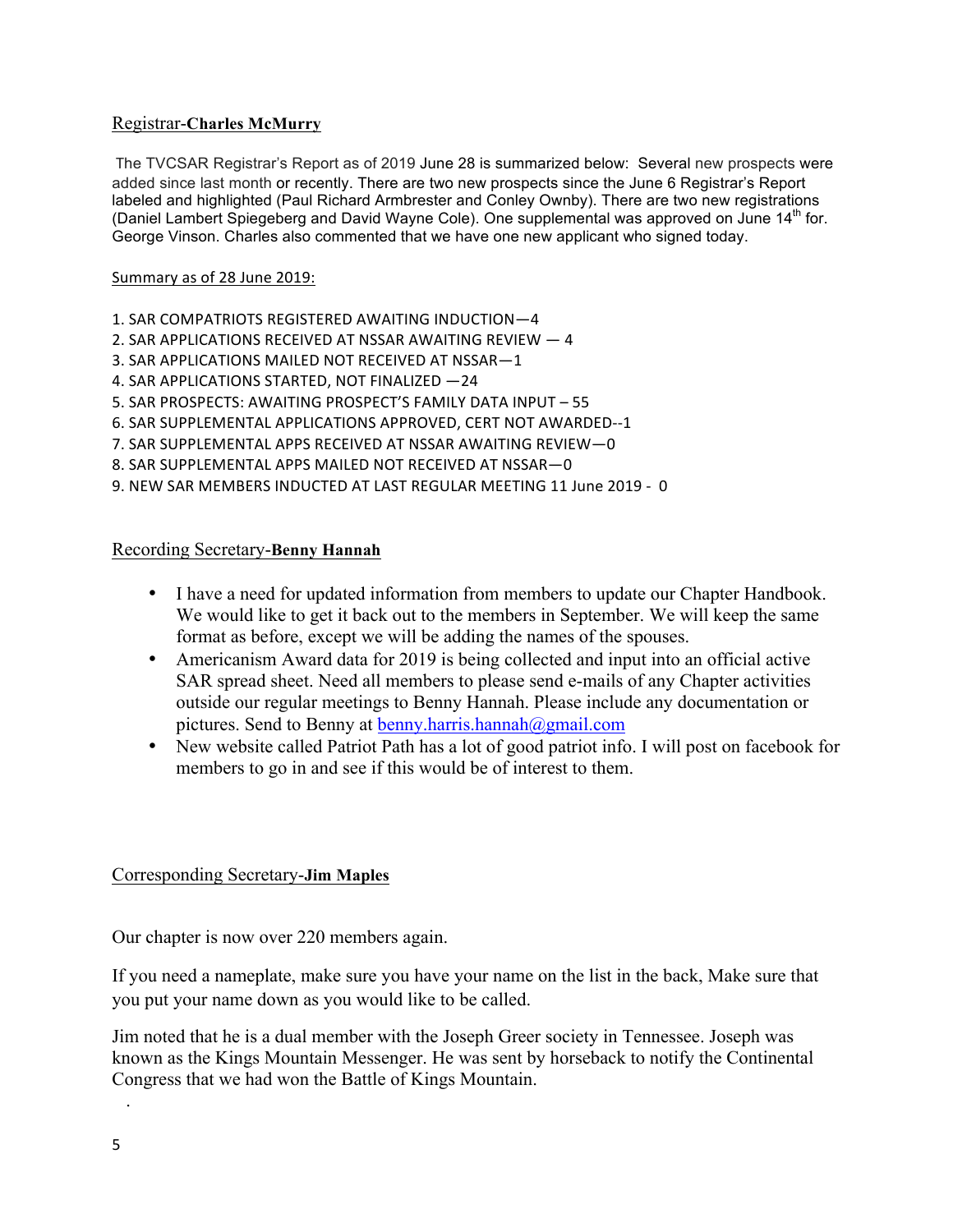# Registrar-**Charles McMurry**

The TVCSAR Registrar's Report as of 2019 June 28 is summarized below: Several new prospects were added since last month or recently. There are two new prospects since the June 6 Registrar's Report labeled and highlighted (Paul Richard Armbrester and Conley Ownby). There are two new registrations (Daniel Lambert Spiegeberg and David Wayne Cole). One supplemental was approved on June  $14<sup>th</sup>$  for. George Vinson. Charles also commented that we have one new applicant who signed today.

### Summary as of 28 June 2019:

- 1. SAR COMPATRIOTS REGISTERED AWAITING INDUCTION-4
- 2. SAR APPLICATIONS RECEIVED AT NSSAR AWAITING REVIEW  $-4$
- 3. SAR APPLICATIONS MAILED NOT RECEIVED AT NSSAR-1
- 4. SAR APPLICATIONS STARTED, NOT FINALIZED -24
- 5. SAR PROSPECTS: AWAITING PROSPECT'S FAMILY DATA INPUT 55
- 6. SAR SUPPLEMENTAL APPLICATIONS APPROVED, CERT NOT AWARDED--1
- 7. SAR SUPPLEMENTAL APPS RECEIVED AT NSSAR AWAITING REVIEW-0
- 8. SAR SUPPLEMENTAL APPS MAILED NOT RECEIVED AT NSSAR-0
- 9. NEW SAR MEMBERS INDUCTED AT LAST REGULAR MEETING 11 June 2019 0

### Recording Secretary-**Benny Hannah**

- I have a need for updated information from members to update our Chapter Handbook. We would like to get it back out to the members in September. We will keep the same format as before, except we will be adding the names of the spouses.
- Americanism Award data for 2019 is being collected and input into an official active SAR spread sheet. Need all members to please send e-mails of any Chapter activities outside our regular meetings to Benny Hannah. Please include any documentation or pictures. Send to Benny at benny.harris.hannah@gmail.com
- New website called Patriot Path has a lot of good patriot info. I will post on facebook for members to go in and see if this would be of interest to them.

# Corresponding Secretary-**Jim Maples**

Our chapter is now over 220 members again.

If you need a nameplate, make sure you have your name on the list in the back, Make sure that you put your name down as you would like to be called.

Jim noted that he is a dual member with the Joseph Greer society in Tennessee. Joseph was known as the Kings Mountain Messenger. He was sent by horseback to notify the Continental Congress that we had won the Battle of Kings Mountain.

.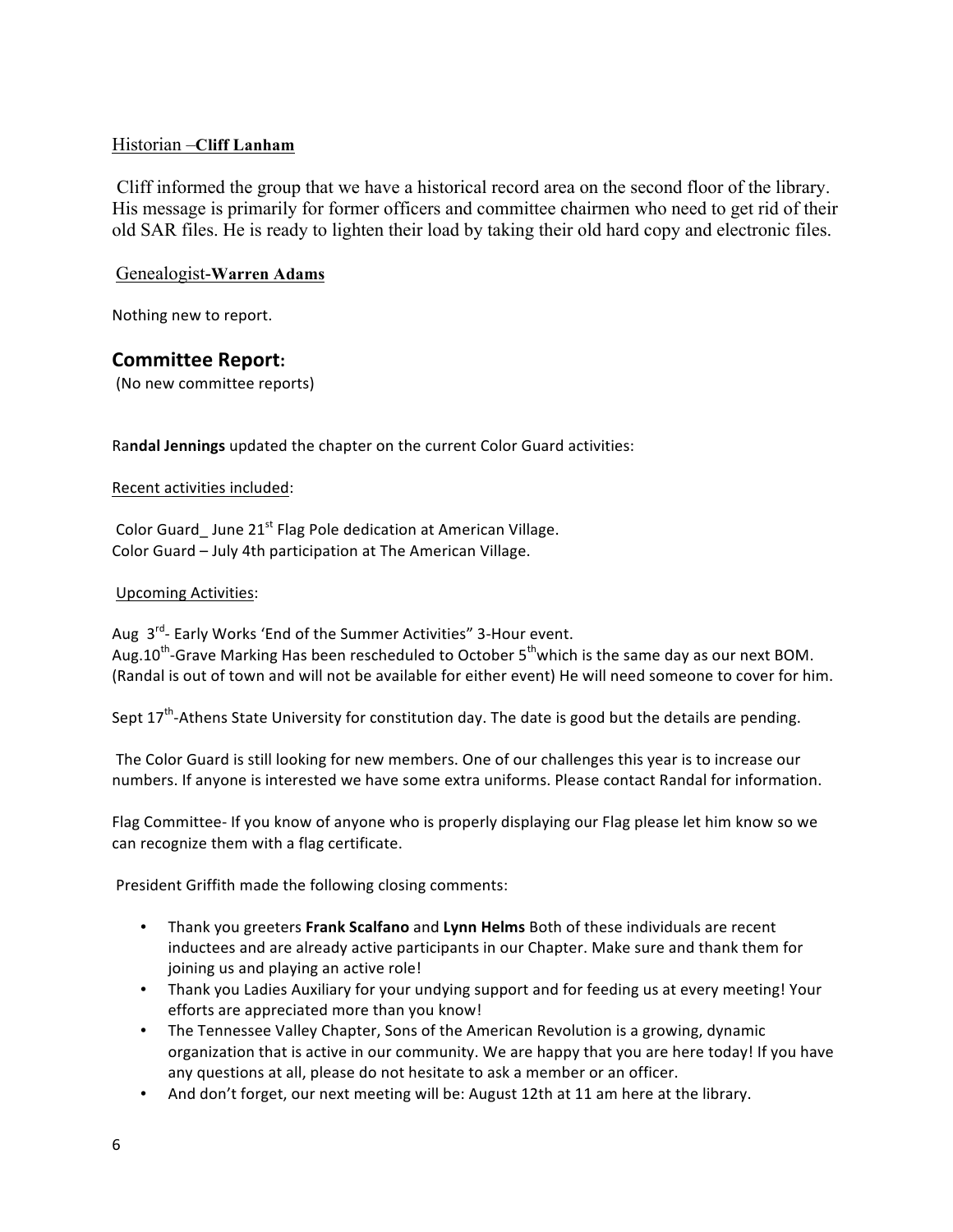# Historian –**Cliff Lanham**

Cliff informed the group that we have a historical record area on the second floor of the library. His message is primarily for former officers and committee chairmen who need to get rid of their old SAR files. He is ready to lighten their load by taking their old hard copy and electronic files.

## Genealogist-**Warren Adams**

Nothing new to report.

# **Committee Report:**

(No new committee reports)

Randal Jennings updated the chapter on the current Color Guard activities:

#### Recent activities included:

Color Guard June  $21^{st}$  Flag Pole dedication at American Village. Color Guard – July 4th participation at The American Village.

#### Upcoming Activities:

Aug 3<sup>rd</sup>- Early Works 'End of the Summer Activities" 3-Hour event. Aug.10<sup>th</sup>-Grave Marking Has been rescheduled to October  $5<sup>th</sup>$ which is the same day as our next BOM. (Randal is out of town and will not be available for either event) He will need someone to cover for him.

Sept  $17<sup>th</sup>$ -Athens State University for constitution day. The date is good but the details are pending.

The Color Guard is still looking for new members. One of our challenges this year is to increase our numbers. If anyone is interested we have some extra uniforms. Please contact Randal for information.

Flag Committee- If you know of anyone who is properly displaying our Flag please let him know so we can recognize them with a flag certificate.

President Griffith made the following closing comments:

- Thank you greeters Frank Scalfano and Lynn Helms Both of these individuals are recent inductees and are already active participants in our Chapter. Make sure and thank them for joining us and playing an active role!
- Thank you Ladies Auxiliary for your undying support and for feeding us at every meeting! Your efforts are appreciated more than you know!
- The Tennessee Valley Chapter, Sons of the American Revolution is a growing, dynamic organization that is active in our community. We are happy that you are here today! If you have any questions at all, please do not hesitate to ask a member or an officer.
- And don't forget, our next meeting will be: August 12th at 11 am here at the library.